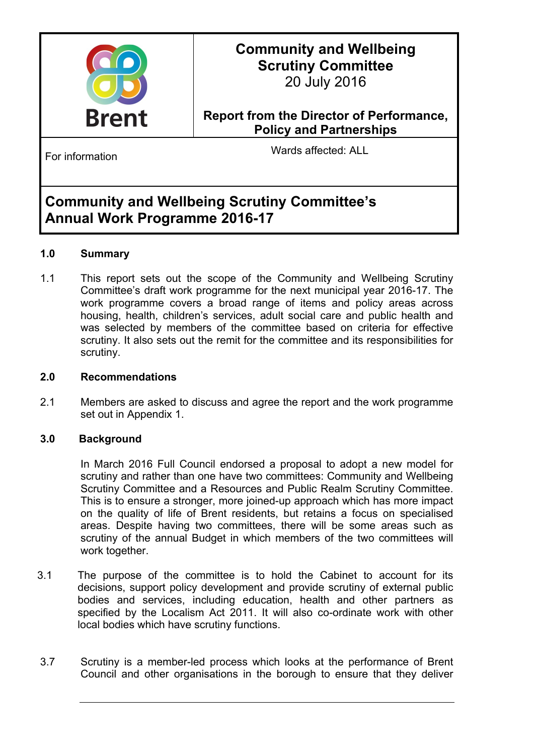

# **Community and Wellbeing Scrutiny Committee** 20 July 2016

### **Report from the Director of Performance, Policy and Partnerships**

For information extension wards affected: ALL

# **Community and Wellbeing Scrutiny Committee's Annual Work Programme 2016-17**

#### **1.0 Summary**

1.1 This report sets out the scope of the Community and Wellbeing Scrutiny Committee's draft work programme for the next municipal year 2016-17. The work programme covers a broad range of items and policy areas across housing, health, children's services, adult social care and public health and was selected by members of the committee based on criteria for effective scrutiny. It also sets out the remit for the committee and its responsibilities for scrutiny.

#### **2.0 Recommendations**

2.1 Members are asked to discuss and agree the report and the work programme set out in Appendix 1.

#### **3.0 Background**

In March 2016 Full Council endorsed a proposal to adopt a new model for scrutiny and rather than one have two committees: Community and Wellbeing Scrutiny Committee and a Resources and Public Realm Scrutiny Committee. This is to ensure a stronger, more joined-up approach which has more impact on the quality of life of Brent residents, but retains a focus on specialised areas. Despite having two committees, there will be some areas such as scrutiny of the annual Budget in which members of the two committees will work together.

- 3.1 The purpose of the committee is to hold the Cabinet to account for its decisions, support policy development and provide scrutiny of external public bodies and services, including education, health and other partners as specified by the Localism Act 2011. It will also co-ordinate work with other local bodies which have scrutiny functions.
- 3.7 Scrutiny is a member-led process which looks at the performance of Brent Council and other organisations in the borough to ensure that they deliver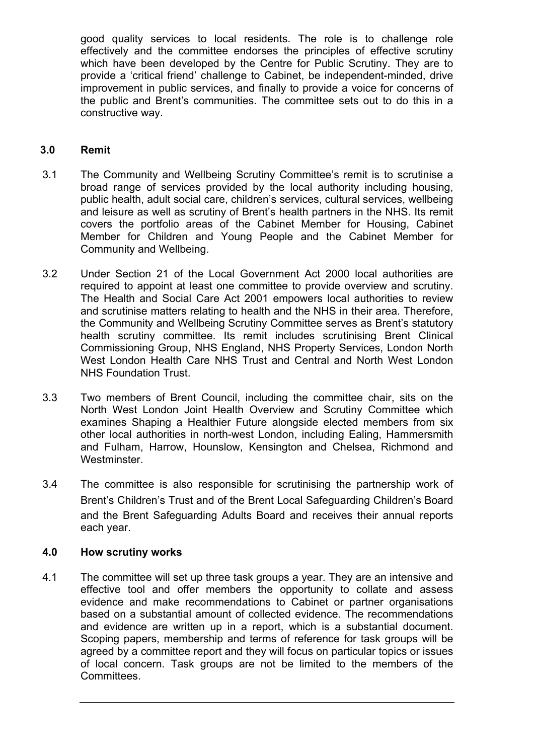good quality services to local residents. The role is to challenge role effectively and the committee endorses the principles of effective scrutiny which have been developed by the Centre for Public Scrutiny. They are to provide a 'critical friend' challenge to Cabinet, be independent-minded, drive improvement in public services, and finally to provide a voice for concerns of the public and Brent's communities. The committee sets out to do this in a constructive way.

#### **3.0 Remit**

- 3.1 The Community and Wellbeing Scrutiny Committee's remit is to scrutinise a broad range of services provided by the local authority including housing, public health, adult social care, children's services, cultural services, wellbeing and leisure as well as scrutiny of Brent's health partners in the NHS. Its remit covers the portfolio areas of the Cabinet Member for Housing, Cabinet Member for Children and Young People and the Cabinet Member for Community and Wellbeing.
- 3.2 Under Section 21 of the Local Government Act 2000 local authorities are required to appoint at least one committee to provide overview and scrutiny. The Health and Social Care Act 2001 empowers local authorities to review and scrutinise matters relating to health and the NHS in their area. Therefore, the Community and Wellbeing Scrutiny Committee serves as Brent's statutory health scrutiny committee. Its remit includes scrutinising Brent Clinical Commissioning Group, NHS England, NHS Property Services, London North West London Health Care NHS Trust and Central and North West London NHS Foundation Trust.
- 3.3 Two members of Brent Council, including the committee chair, sits on the North West London Joint Health Overview and Scrutiny Committee which examines Shaping a Healthier Future alongside elected members from six other local authorities in north-west London, including Ealing, Hammersmith and Fulham, Harrow, Hounslow, Kensington and Chelsea, Richmond and Westminster.
- 3.4 The committee is also responsible for scrutinising the partnership work of Brent's Children's Trust and of the Brent Local Safeguarding Children's Board and the Brent Safeguarding Adults Board and receives their annual reports each year.

#### **4.0 How scrutiny works**

4.1 The committee will set up three task groups a year. They are an intensive and effective tool and offer members the opportunity to collate and assess evidence and make recommendations to Cabinet or partner organisations based on a substantial amount of collected evidence. The recommendations and evidence are written up in a report, which is a substantial document. Scoping papers, membership and terms of reference for task groups will be agreed by a committee report and they will focus on particular topics or issues of local concern. Task groups are not be limited to the members of the Committees.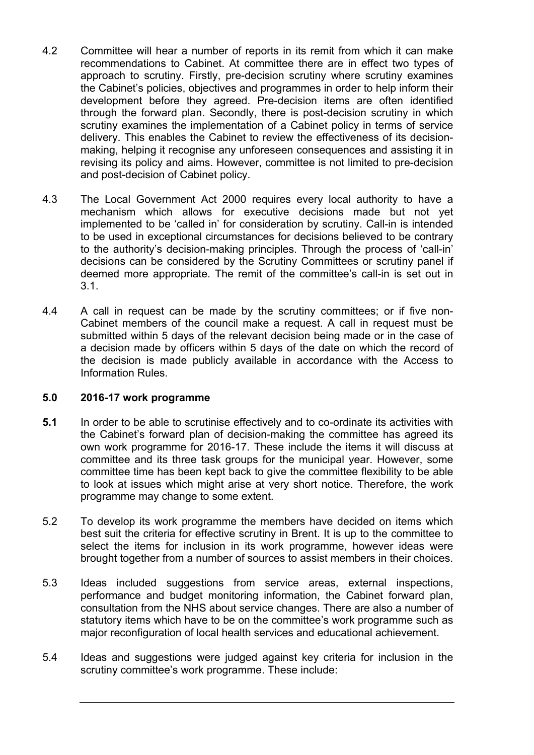- 4.2 Committee will hear a number of reports in its remit from which it can make recommendations to Cabinet. At committee there are in effect two types of approach to scrutiny. Firstly, pre-decision scrutiny where scrutiny examines the Cabinet's policies, objectives and programmes in order to help inform their development before they agreed. Pre-decision items are often identified through the forward plan. Secondly, there is post-decision scrutiny in which scrutiny examines the implementation of a Cabinet policy in terms of service delivery. This enables the Cabinet to review the effectiveness of its decisionmaking, helping it recognise any unforeseen consequences and assisting it in revising its policy and aims. However, committee is not limited to pre-decision and post-decision of Cabinet policy.
- 4.3 The Local Government Act 2000 requires every local authority to have a mechanism which allows for executive decisions made but not yet implemented to be 'called in' for consideration by scrutiny. Call-in is intended to be used in exceptional circumstances for decisions believed to be contrary to the authority's decision-making principles. Through the process of 'call-in' decisions can be considered by the Scrutiny Committees or scrutiny panel if deemed more appropriate. The remit of the committee's call-in is set out in 3.1.
- 4.4 A call in request can be made by the scrutiny committees; or if five non-Cabinet members of the council make a request. A call in request must be submitted within 5 days of the relevant decision being made or in the case of a decision made by officers within 5 days of the date on which the record of the decision is made publicly available in accordance with the Access to Information Rules.

#### **5.0 2016-17 work programme**

- **5.1** In order to be able to scrutinise effectively and to co-ordinate its activities with the Cabinet's forward plan of decision-making the committee has agreed its own work programme for 2016-17. These include the items it will discuss at committee and its three task groups for the municipal year. However, some committee time has been kept back to give the committee flexibility to be able to look at issues which might arise at very short notice. Therefore, the work programme may change to some extent.
- 5.2 To develop its work programme the members have decided on items which best suit the criteria for effective scrutiny in Brent. It is up to the committee to select the items for inclusion in its work programme, however ideas were brought together from a number of sources to assist members in their choices.
- 5.3 Ideas included suggestions from service areas, external inspections, performance and budget monitoring information, the Cabinet forward plan, consultation from the NHS about service changes. There are also a number of statutory items which have to be on the committee's work programme such as major reconfiguration of local health services and educational achievement.
- 5.4 Ideas and suggestions were judged against key criteria for inclusion in the scrutiny committee's work programme. These include: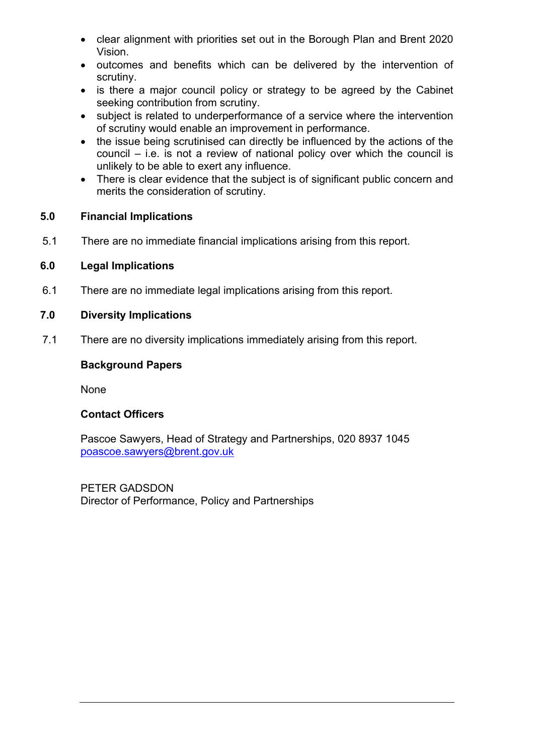- clear alignment with priorities set out in the Borough Plan and Brent 2020 Vision.
- outcomes and benefits which can be delivered by the intervention of scrutiny.
- is there a major council policy or strategy to be agreed by the Cabinet seeking contribution from scrutiny.
- subject is related to underperformance of a service where the intervention of scrutiny would enable an improvement in performance.
- the issue being scrutinised can directly be influenced by the actions of the council – i.e. is not a review of national policy over which the council is unlikely to be able to exert any influence.
- There is clear evidence that the subject is of significant public concern and merits the consideration of scrutiny.

#### **5.0 Financial Implications**

5.1 There are no immediate financial implications arising from this report.

#### **6.0 Legal Implications**

6.1 There are no immediate legal implications arising from this report.

#### **7.0 Diversity Implications**

7.1 There are no diversity implications immediately arising from this report.

#### **Background Papers**

None

#### **Contact Officers**

Pascoe Sawyers, Head of Strategy and Partnerships, 020 8937 1045 [poascoe.sawyers@brent.gov.uk](mailto:poascoe.sawyers@brent.gov.uk)

PETER GADSDON Director of Performance, Policy and Partnerships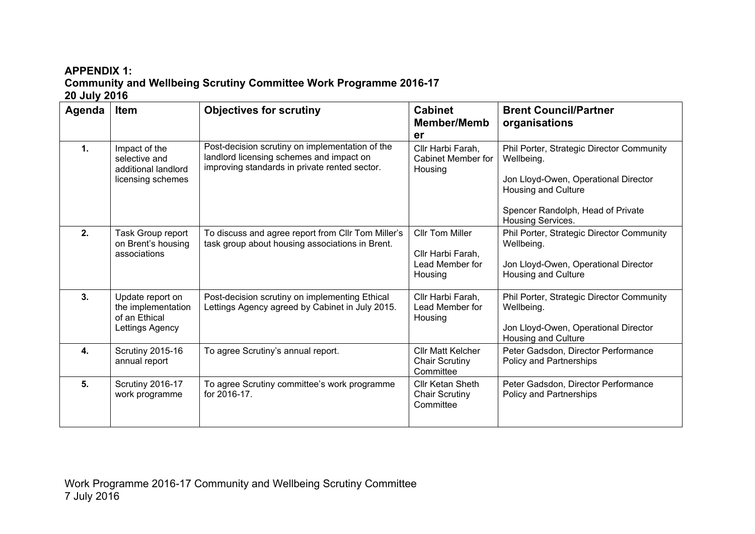#### **APPENDIX 1: Community and Wellbeing Scrutiny Committee Work Programme 2016-17 20 July 2016**

| Agenda           | <b>Item</b>                                                                | <b>Objectives for scrutiny</b>                                                                                                               | <b>Cabinet</b><br><b>Member/Memb</b><br>er                                | <b>Brent Council/Partner</b><br>organisations                                                                                                                                    |
|------------------|----------------------------------------------------------------------------|----------------------------------------------------------------------------------------------------------------------------------------------|---------------------------------------------------------------------------|----------------------------------------------------------------------------------------------------------------------------------------------------------------------------------|
| 1.               | Impact of the<br>selective and<br>additional landlord<br>licensing schemes | Post-decision scrutiny on implementation of the<br>landlord licensing schemes and impact on<br>improving standards in private rented sector. | Cllr Harbi Farah,<br><b>Cabinet Member for</b><br>Housing                 | Phil Porter, Strategic Director Community<br>Wellbeing.<br>Jon Lloyd-Owen, Operational Director<br>Housing and Culture<br>Spencer Randolph, Head of Private<br>Housing Services. |
| 2.               | Task Group report<br>on Brent's housing<br>associations                    | To discuss and agree report from Cllr Tom Miller's<br>task group about housing associations in Brent.                                        | <b>Cllr Tom Miller</b><br>Cllr Harbi Farah,<br>Lead Member for<br>Housing | Phil Porter, Strategic Director Community<br>Wellbeing.<br>Jon Lloyd-Owen, Operational Director<br>Housing and Culture                                                           |
| 3.               | Update report on<br>the implementation<br>of an Ethical<br>Lettings Agency | Post-decision scrutiny on implementing Ethical<br>Lettings Agency agreed by Cabinet in July 2015.                                            | Cllr Harbi Farah,<br>Lead Member for<br>Housing                           | Phil Porter, Strategic Director Community<br>Wellbeing.<br>Jon Lloyd-Owen, Operational Director<br>Housing and Culture                                                           |
| $\overline{4}$ . | <b>Scrutiny 2015-16</b><br>annual report                                   | To agree Scrutiny's annual report.                                                                                                           | <b>Cllr Matt Kelcher</b><br><b>Chair Scrutiny</b><br>Committee            | Peter Gadsdon, Director Performance<br>Policy and Partnerships                                                                                                                   |
| 5.               | Scrutiny 2016-17<br>work programme                                         | To agree Scrutiny committee's work programme<br>for 2016-17.                                                                                 | Cllr Ketan Sheth<br><b>Chair Scrutiny</b><br>Committee                    | Peter Gadsdon, Director Performance<br><b>Policy and Partnerships</b>                                                                                                            |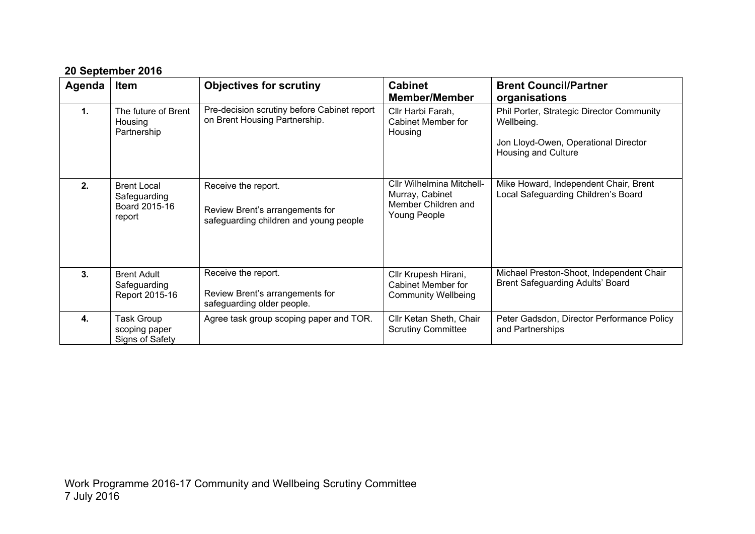| Agenda         | <b>Item</b>                                                   | <b>Objectives for scrutiny</b>                                                                   | <b>Cabinet</b><br><b>Member/Member</b>                                              | <b>Brent Council/Partner</b><br>organisations                                                                          |
|----------------|---------------------------------------------------------------|--------------------------------------------------------------------------------------------------|-------------------------------------------------------------------------------------|------------------------------------------------------------------------------------------------------------------------|
| $\mathbf{1}$ . | The future of Brent<br>Housing<br>Partnership                 | Pre-decision scrutiny before Cabinet report<br>on Brent Housing Partnership.                     | Cllr Harbi Farah,<br>Cabinet Member for<br>Housing                                  | Phil Porter, Strategic Director Community<br>Wellbeing.<br>Jon Lloyd-Owen, Operational Director<br>Housing and Culture |
| 2.             | <b>Brent Local</b><br>Safeguarding<br>Board 2015-16<br>report | Receive the report.<br>Review Brent's arrangements for<br>safeguarding children and young people | Cllr Wilhelmina Mitchell-<br>Murray, Cabinet<br>Member Children and<br>Young People | Mike Howard, Independent Chair, Brent<br>Local Safeguarding Children's Board                                           |
| 3.             | <b>Brent Adult</b><br>Safeguarding<br>Report 2015-16          | Receive the report.<br>Review Brent's arrangements for<br>safeguarding older people.             | Cllr Krupesh Hirani,<br><b>Cabinet Member for</b><br><b>Community Wellbeing</b>     | Michael Preston-Shoot, Independent Chair<br>Brent Safeguarding Adults' Board                                           |
| 4.             | Task Group<br>scoping paper<br>Signs of Safety                | Agree task group scoping paper and TOR.                                                          | Cllr Ketan Sheth, Chair<br><b>Scrutiny Committee</b>                                | Peter Gadsdon, Director Performance Policy<br>and Partnerships                                                         |

#### **20 September 2016**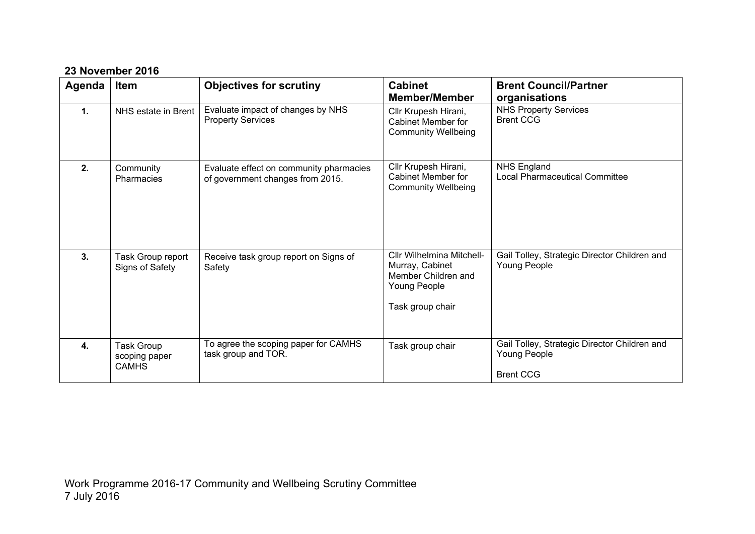#### **23 November 2016**

| Agenda         | Item                                               | <b>Objectives for scrutiny</b>                                              | <b>Cabinet</b><br><b>Member/Member</b>                                                                  | <b>Brent Council/Partner</b><br>organisations                                    |
|----------------|----------------------------------------------------|-----------------------------------------------------------------------------|---------------------------------------------------------------------------------------------------------|----------------------------------------------------------------------------------|
| $\mathbf{1}$ . | NHS estate in Brent                                | Evaluate impact of changes by NHS<br><b>Property Services</b>               | Cllr Krupesh Hirani,<br>Cabinet Member for<br><b>Community Wellbeing</b>                                | <b>NHS Property Services</b><br><b>Brent CCG</b>                                 |
| 2.             | Community<br>Pharmacies                            | Evaluate effect on community pharmacies<br>of government changes from 2015. | Cllr Krupesh Hirani,<br>Cabinet Member for<br><b>Community Wellbeing</b>                                | <b>NHS England</b><br><b>Local Pharmaceutical Committee</b>                      |
| 3.             | Task Group report<br>Signs of Safety               | Receive task group report on Signs of<br>Safety                             | Cllr Wilhelmina Mitchell-<br>Murray, Cabinet<br>Member Children and<br>Young People<br>Task group chair | Gail Tolley, Strategic Director Children and<br>Young People                     |
| 4.             | <b>Task Group</b><br>scoping paper<br><b>CAMHS</b> | To agree the scoping paper for CAMHS<br>task group and TOR.                 | Task group chair                                                                                        | Gail Tolley, Strategic Director Children and<br>Young People<br><b>Brent CCG</b> |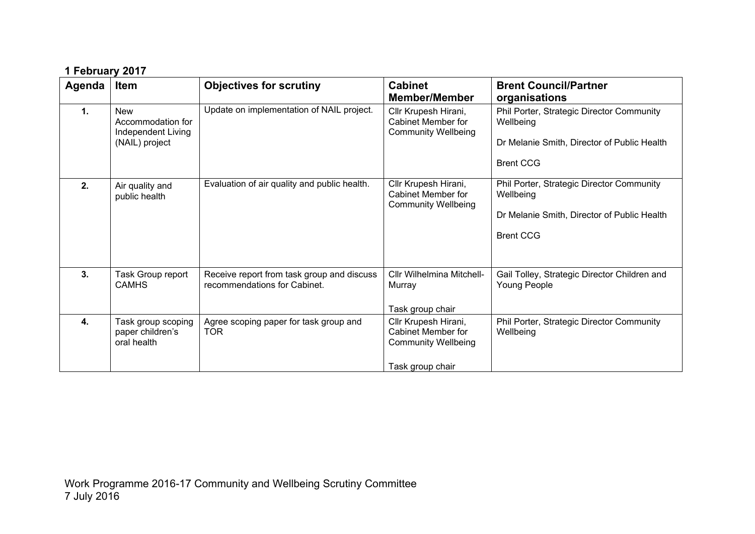| 1 February 2017 |
|-----------------|
|-----------------|

| Agenda         | <b>Item</b>                                                             | <b>Objectives for scrutiny</b>                                             | <b>Cabinet</b><br><b>Member/Member</b>                                                              | <b>Brent Council/Partner</b><br>organisations                                                                             |
|----------------|-------------------------------------------------------------------------|----------------------------------------------------------------------------|-----------------------------------------------------------------------------------------------------|---------------------------------------------------------------------------------------------------------------------------|
| $\mathbf{1}$ . | <b>New</b><br>Accommodation for<br>Independent Living<br>(NAIL) project | Update on implementation of NAIL project.                                  | Cllr Krupesh Hirani,<br>Cabinet Member for<br><b>Community Wellbeing</b>                            | Phil Porter, Strategic Director Community<br>Wellbeing<br>Dr Melanie Smith, Director of Public Health<br><b>Brent CCG</b> |
| 2.             | Air quality and<br>public health                                        | Evaluation of air quality and public health.                               | Cllr Krupesh Hirani,<br><b>Cabinet Member for</b><br><b>Community Wellbeing</b>                     | Phil Porter, Strategic Director Community<br>Wellbeing<br>Dr Melanie Smith, Director of Public Health<br><b>Brent CCG</b> |
| 3.             | Task Group report<br><b>CAMHS</b>                                       | Receive report from task group and discuss<br>recommendations for Cabinet. | Cllr Wilhelmina Mitchell-<br>Murray<br>Task group chair                                             | Gail Tolley, Strategic Director Children and<br>Young People                                                              |
| 4.             | Task group scoping<br>paper children's<br>oral health                   | Agree scoping paper for task group and<br><b>TOR</b>                       | Cllr Krupesh Hirani,<br><b>Cabinet Member for</b><br><b>Community Wellbeing</b><br>Task group chair | Phil Porter, Strategic Director Community<br>Wellbeing                                                                    |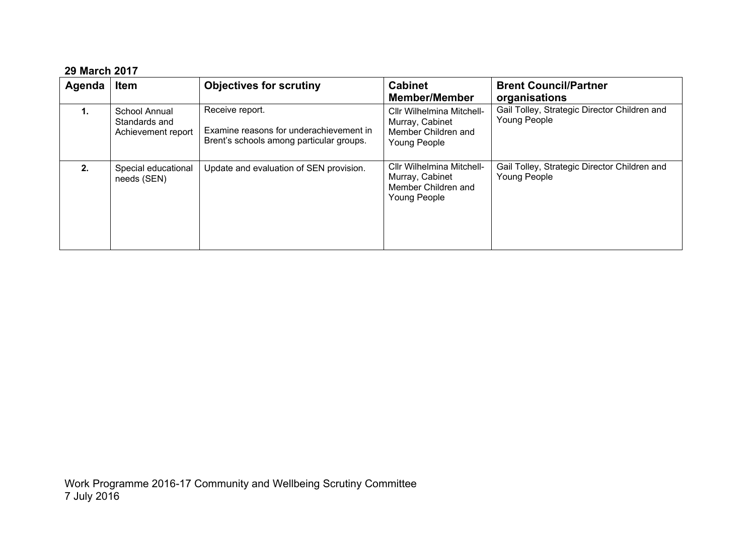#### **29 March 2017**

| Agenda | <b>Item</b>                                          | <b>Objectives for scrutiny</b>                                                                         | <b>Cabinet</b><br><b>Member/Member</b>                                                     | <b>Brent Council/Partner</b><br>organisations                |
|--------|------------------------------------------------------|--------------------------------------------------------------------------------------------------------|--------------------------------------------------------------------------------------------|--------------------------------------------------------------|
| 1.     | School Annual<br>Standards and<br>Achievement report | Receive report.<br>Examine reasons for underachievement in<br>Brent's schools among particular groups. | Cllr Wilhelmina Mitchell-<br>Murray, Cabinet<br>Member Children and<br><b>Young People</b> | Gail Tolley, Strategic Director Children and<br>Young People |
| 2.     | Special educational<br>needs (SEN)                   | Update and evaluation of SEN provision.                                                                | Cllr Wilhelmina Mitchell-<br>Murray, Cabinet<br>Member Children and<br>Young People        | Gail Tolley, Strategic Director Children and<br>Young People |